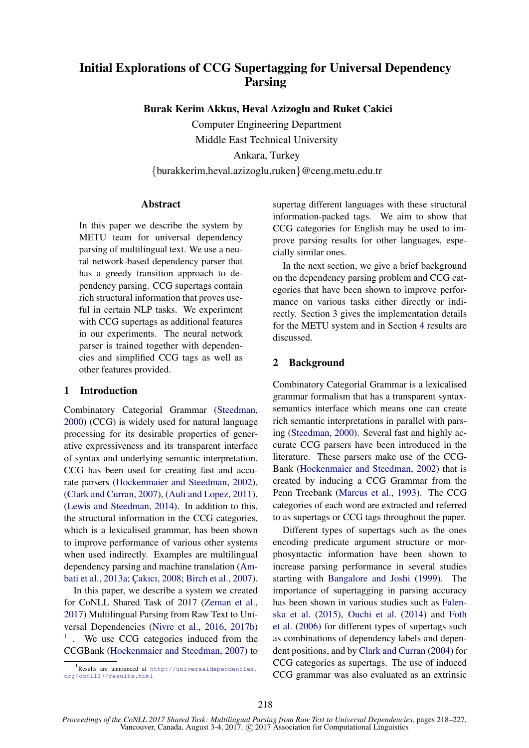# Initial Explorations of CCG Supertagging for Universal Dependency Parsing

Burak Kerim Akkus, Heval Azizoglu and Ruket Cakici

Computer Engineering Department Middle East Technical University

Ankara, Turkey {burakkerim,heval.azizoglu,ruken}@ceng.metu.edu.tr

### **Abstract**

In this paper we describe the system by METU team for universal dependency parsing of multilingual text. We use a neural network-based dependency parser that has a greedy transition approach to dependency parsing. CCG supertags contain rich structural information that proves useful in certain NLP tasks. We experiment with CCG supertags as additional features in our experiments. The neural network parser is trained together with dependencies and simplified CCG tags as well as other features provided.

# 1 Introduction

Combinatory Categorial Grammar (Steedman, 2000) (CCG) is widely used for natural language processing for its desirable properties of generative expressiveness and its transparent interface of syntax and underlying semantic interpretation. CCG has been used for creating fast and accurate parsers (Hockenmaier and Steedman, 2002), (Clark and Curran, 2007), (Auli and Lopez, 2011), (Lewis and Steedman, 2014). In addition to this, the structural information in the CCG categories, which is a lexicalised grammar, has been shown to improve performance of various other systems when used indirectly. Examples are multilingual dependency parsing and machine translation (Ambati et al., 2013a; Cakıcı, 2008; Birch et al., 2007).

In this paper, we describe a system we created for CoNLL Shared Task of 2017 (Zeman et al., 2017) Multilingual Parsing from Raw Text to Universal Dependencies (Nivre et al., 2016, 2017b) <sup>1</sup>. We use CCG categories induced from the CCGBank (Hockenmaier and Steedman, 2007) to supertag different languages with these structural information-packed tags. We aim to show that CCG categories for English may be used to improve parsing results for other languages, especially similar ones.

In the next section, we give a brief background on the dependency parsing problem and CCG categories that have been shown to improve performance on various tasks either directly or indirectly. Section 3 gives the implementation details for the METU system and in Section 4 results are discussed.

# 2 Background

Combinatory Categorial Grammar is a lexicalised grammar formalism that has a transparent syntaxsemantics interface which means one can create rich semantic interpretations in parallel with parsing (Steedman, 2000). Several fast and highly accurate CCG parsers have been introduced in the literature. These parsers make use of the CCG-Bank (Hockenmaier and Steedman, 2002) that is created by inducing a CCG Grammar from the Penn Treebank (Marcus et al., 1993). The CCG categories of each word are extracted and referred to as supertags or CCG tags throughout the paper.

Different types of supertags such as the ones encoding predicate argument structure or morphosyntactic information have been shown to increase parsing performance in several studies starting with Bangalore and Joshi (1999). The importance of supertagging in parsing accuracy has been shown in various studies such as Falenska et al. (2015), Ouchi et al. (2014) and Foth et al. (2006) for different types of supertags such as combinations of dependency labels and dependent positions, and by Clark and Curran (2004) for CCG categories as supertags. The use of induced CCG grammar was also evaluated as an extrinsic

<sup>1</sup> Results are announced at http://universaldependencies. org/conll17/results.html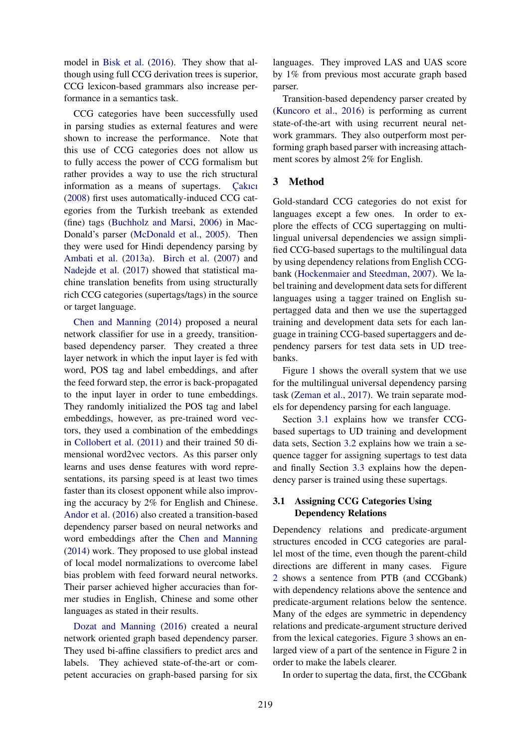model in Bisk et al. (2016). They show that although using full CCG derivation trees is superior, CCG lexicon-based grammars also increase performance in a semantics task.

CCG categories have been successfully used in parsing studies as external features and were shown to increase the performance. Note that this use of CCG categories does not allow us to fully access the power of CCG formalism but rather provides a way to use the rich structural information as a means of supertags. Cakici (2008) first uses automatically-induced CCG categories from the Turkish treebank as extended (fine) tags (Buchholz and Marsi, 2006) in Mac-Donald's parser (McDonald et al., 2005). Then they were used for Hindi dependency parsing by Ambati et al. (2013a). Birch et al. (2007) and Nadejde et al. (2017) showed that statistical machine translation benefits from using structurally rich CCG categories (supertags/tags) in the source or target language.

Chen and Manning (2014) proposed a neural network classifier for use in a greedy, transitionbased dependency parser. They created a three layer network in which the input layer is fed with word, POS tag and label embeddings, and after the feed forward step, the error is back-propagated to the input layer in order to tune embeddings. They randomly initialized the POS tag and label embeddings, however, as pre-trained word vectors, they used a combination of the embeddings in Collobert et al. (2011) and their trained 50 dimensional word2vec vectors. As this parser only learns and uses dense features with word representations, its parsing speed is at least two times faster than its closest opponent while also improving the accuracy by 2% for English and Chinese. Andor et al. (2016) also created a transition-based dependency parser based on neural networks and word embeddings after the Chen and Manning (2014) work. They proposed to use global instead of local model normalizations to overcome label bias problem with feed forward neural networks. Their parser achieved higher accuracies than former studies in English, Chinese and some other languages as stated in their results.

Dozat and Manning (2016) created a neural network oriented graph based dependency parser. They used bi-affine classifiers to predict arcs and labels. They achieved state-of-the-art or competent accuracies on graph-based parsing for six

languages. They improved LAS and UAS score by 1% from previous most accurate graph based parser.

Transition-based dependency parser created by (Kuncoro et al., 2016) is performing as current state-of-the-art with using recurrent neural network grammars. They also outperform most performing graph based parser with increasing attachment scores by almost 2% for English.

#### 3 Method

Gold-standard CCG categories do not exist for languages except a few ones. In order to explore the effects of CCG supertagging on multilingual universal dependencies we assign simplified CCG-based supertags to the multilingual data by using dependency relations from English CCGbank (Hockenmaier and Steedman, 2007). We label training and development data sets for different languages using a tagger trained on English supertagged data and then we use the supertagged training and development data sets for each language in training CCG-based supertaggers and dependency parsers for test data sets in UD treebanks.

Figure 1 shows the overall system that we use for the multilingual universal dependency parsing task (Zeman et al., 2017). We train separate models for dependency parsing for each language.

Section 3.1 explains how we transfer CCGbased supertags to UD training and development data sets, Section 3.2 explains how we train a sequence tagger for assigning supertags to test data and finally Section 3.3 explains how the dependency parser is trained using these supertags.

# 3.1 Assigning CCG Categories Using Dependency Relations

Dependency relations and predicate-argument structures encoded in CCG categories are parallel most of the time, even though the parent-child directions are different in many cases. Figure 2 shows a sentence from PTB (and CCGbank) with dependency relations above the sentence and predicate-argument relations below the sentence. Many of the edges are symmetric in dependency relations and predicate-argument structure derived from the lexical categories. Figure 3 shows an enlarged view of a part of the sentence in Figure 2 in order to make the labels clearer.

In order to supertag the data, first, the CCGbank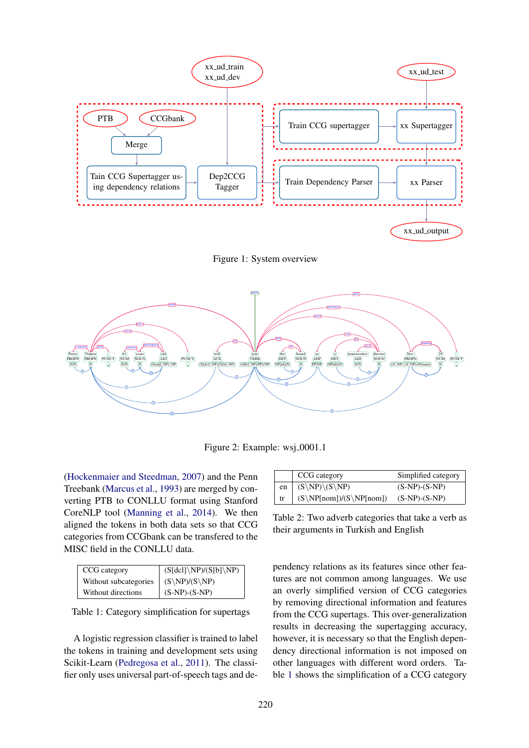

Figure 1: System overview



Figure 2: Example: wsj\_0001.1

(Hockenmaier and Steedman, 2007) and the Penn Treebank (Marcus et al., 1993) are merged by converting PTB to CONLLU format using Stanford CoreNLP tool (Manning et al., 2014). We then aligned the tokens in both data sets so that CCG categories from CCGbank can be transfered to the MISC field in the CONLLU data.

| CCG category          | $\mid$ (S[dcl]\NP)/(S[b]\NP) |
|-----------------------|------------------------------|
| Without subcategories | $(S\NP)/(S\NP)$              |
| Without directions    | $(S-NP)-(S-NP)$              |

Table 1: Category simplification for supertags

A logistic regression classifier is trained to label the tokens in training and development sets using Scikit-Learn (Pedregosa et al., 2011). The classifier only uses universal part-of-speech tags and de-

|    | CCG category              | Simplified category |
|----|---------------------------|---------------------|
| en | $(S\NP)\G\NP)$            | $(S-NP)-(S-NP)$     |
| tr | $(S\NP[nom])/(S\NP[nom])$ | $(S-NP)-(S-NP)$     |

Table 2: Two adverb categories that take a verb as their arguments in Turkish and English

pendency relations as its features since other features are not common among languages. We use an overly simplified version of CCG categories by removing directional information and features from the CCG supertags. This over-generalization results in decreasing the supertagging accuracy, however, it is necessary so that the English dependency directional information is not imposed on other languages with different word orders. Table 1 shows the simplification of a CCG category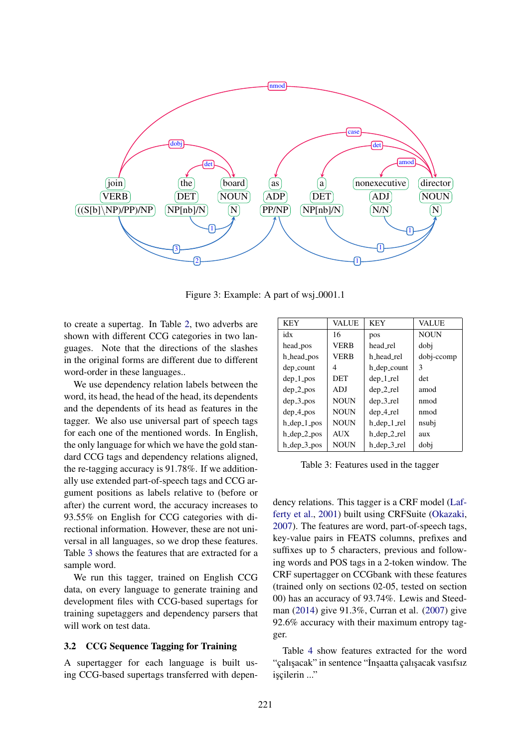

Figure 3: Example: A part of wsj\_0001.1

to create a supertag. In Table 2, two adverbs are shown with different CCG categories in two languages. Note that the directions of the slashes in the original forms are different due to different word-order in these languages..

We use dependency relation labels between the word, its head, the head of the head, its dependents and the dependents of its head as features in the tagger. We also use universal part of speech tags for each one of the mentioned words. In English, the only language for which we have the gold standard CCG tags and dependency relations aligned, the re-tagging accuracy is 91.78%. If we additionally use extended part-of-speech tags and CCG argument positions as labels relative to (before or after) the current word, the accuracy increases to 93.55% on English for CCG categories with directional information. However, these are not universal in all languages, so we drop these features. Table 3 shows the features that are extracted for a sample word.

We run this tagger, trained on English CCG data, on every language to generate training and development files with CCG-based supertags for training supetaggers and dependency parsers that will work on test data.

#### 3.2 CCG Sequence Tagging for Training

A supertagger for each language is built using CCG-based supertags transferred with depen-

| <b>KEY</b>              | <b>VALUE</b> | <b>KEY</b>   | <b>VALUE</b> |
|-------------------------|--------------|--------------|--------------|
| idx                     | 16           | pos          | <b>NOUN</b>  |
| head_pos                | <b>VERB</b>  | head rel     | dobi         |
| h_head_pos              | <b>VERB</b>  | h_head_rel   | dobj-ccomp   |
| dep_count               | 4            | h_dep_count  | 3            |
| $dep_1_p$               | DET          | $dep_1$ rel  | det          |
| $dep_2_p$               | ADJ          | $dep_2rel$   | amod         |
| $dep_3_p$               | <b>NOUN</b>  | $dep_3$ _rel | nmod         |
| $dep_4$ <sub>-pos</sub> | <b>NOUN</b>  | $dep_4$ -rel | nmod         |
| h_dep_1_pos             | <b>NOUN</b>  | h_dep_1_rel  | nsubj        |
| $h$ _dep_2_pos          | <b>AUX</b>   | h_dep_2_rel  | aux          |
| $h$ _dep_3_pos          | <b>NOUN</b>  | h_dep_3_rel  | dobi         |

Table 3: Features used in the tagger

dency relations. This tagger is a CRF model (Lafferty et al., 2001) built using CRFSuite (Okazaki, 2007). The features are word, part-of-speech tags, key-value pairs in FEATS columns, prefixes and suffixes up to 5 characters, previous and following words and POS tags in a 2-token window. The CRF supertagger on CCGbank with these features (trained only on sections 02-05, tested on section 00) has an accuracy of 93.74%. Lewis and Steedman (2014) give 91.3%, Curran et al. (2007) give 92.6% accuracy with their maximum entropy tagger.

Table 4 show features extracted for the word "çalışacak" in sentence "İnşaatta çalışacak vasıfsız işçilerin ..."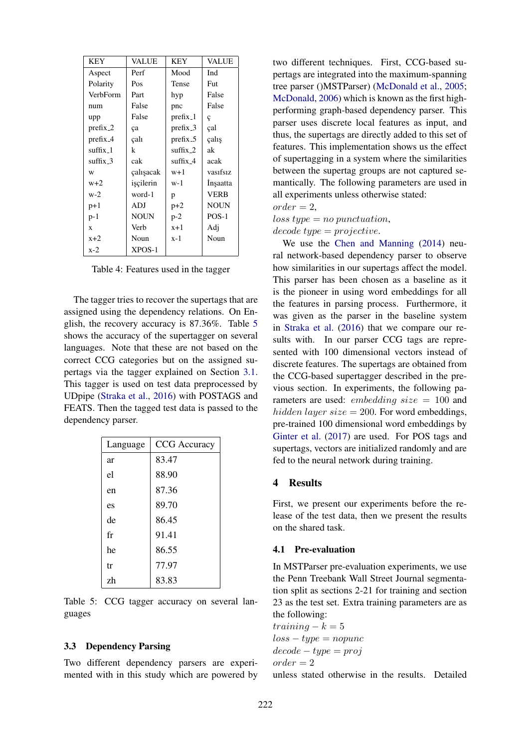| <b>KEY</b>        | VALUE       | KEY                   | <b>VALUE</b> |
|-------------------|-------------|-----------------------|--------------|
| Aspect            | Perf        | Mood                  | Ind          |
| Polarity          | Pos         | Tense                 | Fut          |
| VerbForm          | Part        | hyp                   | False        |
| num               | False       | pnc                   | False        |
| upp               | False       | $prefix_1$            | ç            |
| $prefix_2$        | ça          | $prefix_3$            | çal          |
| $prefix_4$        | çalı        | $prefix_5$            | çalış        |
| suffix_1          | k           | $\text{suffix}_2$     | ak           |
| $\text{suffix}_3$ | cak         | suffix $\overline{4}$ | acak         |
| W                 | calisacak   | $w+1$                 | vasıfsız     |
| $w+2$             | iscilerin   | $w-1$                 | Insaatta     |
| w-2               | word-1      | p                     | <b>VERB</b>  |
| $p+1$             | ADJ         | $p+2$                 | <b>NOUN</b>  |
| $p-1$             | <b>NOUN</b> | $p-2$                 | $POS-1$      |
| $\mathbf x$       | Verb        | $x+1$                 | Adj          |
| $x+2$             | Noun        | $x-1$                 | Noun         |
| $x-2$             | XPOS-1      |                       |              |

Table 4: Features used in the tagger

The tagger tries to recover the supertags that are assigned using the dependency relations. On English, the recovery accuracy is 87.36%. Table 5 shows the accuracy of the supertagger on several languages. Note that these are not based on the correct CCG categories but on the assigned supertags via the tagger explained on Section 3.1. This tagger is used on test data preprocessed by UDpipe (Straka et al., 2016) with POSTAGS and FEATS. Then the tagged test data is passed to the dependency parser.

| Language | <b>CCG</b> Accuracy |
|----------|---------------------|
| ar       | 83.47               |
| el       | 88.90               |
| en       | 87.36               |
| es       | 89.70               |
| de       | 86.45               |
| fr       | 91.41               |
| he       | 86.55               |
| tr       | 77.97               |
| zh       | 83.83               |

Table 5: CCG tagger accuracy on several languages

### 3.3 Dependency Parsing

Two different dependency parsers are experimented with in this study which are powered by

two different techniques. First, CCG-based supertags are integrated into the maximum-spanning tree parser ()MSTParser) (McDonald et al., 2005; McDonald, 2006) which is known as the first highperforming graph-based dependency parser. This parser uses discrete local features as input, and thus, the supertags are directly added to this set of features. This implementation shows us the effect of supertagging in a system where the similarities between the supertag groups are not captured semantically. The following parameters are used in all experiments unless otherwise stated:

 $order = 2.$ 

 $loss\ type = no\ punctuation,$ 

 $decode type = projective.$ 

We use the Chen and Manning (2014) neural network-based dependency parser to observe how similarities in our supertags affect the model. This parser has been chosen as a baseline as it is the pioneer in using word embeddings for all the features in parsing process. Furthermore, it was given as the parser in the baseline system in Straka et al. (2016) that we compare our results with. In our parser CCG tags are represented with 100 dimensional vectors instead of discrete features. The supertags are obtained from the CCG-based supertagger described in the previous section. In experiments, the following parameters are used: *embedding size* = 100 and hidden layer size = 200. For word embeddings, pre-trained 100 dimensional word embeddings by Ginter et al. (2017) are used. For POS tags and supertags, vectors are initialized randomly and are fed to the neural network during training.

#### $\overline{\mathbf{4}}$ **Results**

First, we present our experiments before the release of the test data, then we present the results on the shared task.

# 4.1 Pre-evaluation

In MSTParser pre-evaluation experiments, we use the Penn Treebank Wall Street Journal segmentation split as sections 2-21 for training and section 23 as the test set. Extra training parameters are as the following:

 $training - k = 5$  $loss-type = nopunc$  $decode - type = proj$  $order = 2$ 

unless stated otherwise in the results. Detailed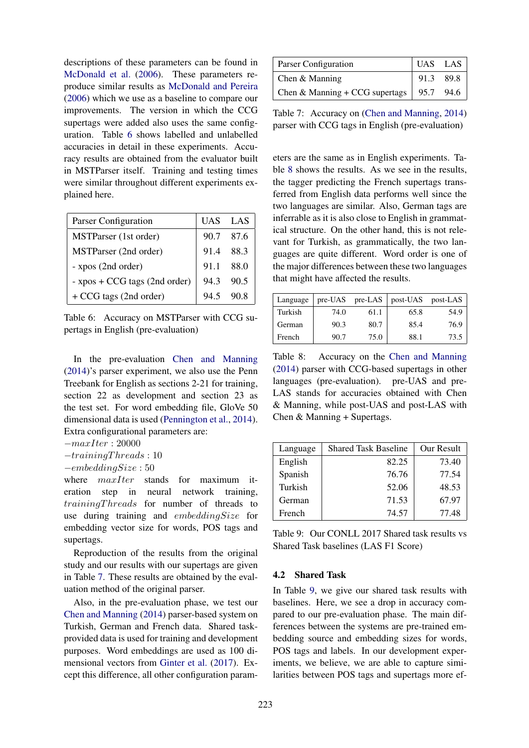descriptions of these parameters can be found in McDonald et al. (2006). These parameters reproduce similar results as McDonald and Pereira (2006) which we use as a baseline to compare our improvements. The version in which the CCG supertags were added also uses the same configuration. Table 6 shows labelled and unlabelled accuracies in detail in these experiments. Accuracy results are obtained from the evaluator built in MSTParser itself. Training and testing times were similar throughout different experiments explained here.

| Parser Configuration          |      | UAS LAS   |
|-------------------------------|------|-----------|
| MSTParser (1st order)         |      | 90.7 87.6 |
| MSTParser (2nd order)         | 91.4 | 88.3      |
| - xpos (2nd order)            | 91.1 | - 88.0    |
| - xpos + CCG tags (2nd order) | 94.3 | 90.5      |
| + CCG tags (2nd order)        | 94.5 |           |

Table 6: Accuracy on MSTParser with CCG supertags in English (pre-evaluation)

In the pre-evaluation Chen and Manning (2014)'s parser experiment, we also use the Penn Treebank for English as sections 2-21 for training, section 22 as development and section 23 as the test set. For word embedding file, GloVe 50 dimensional data is used (Pennington et al., 2014). Extra configurational parameters are:

 $-maxIter: 20000$ 

 $-training Threads: 10$ 

```
−embeddingSize : 50
```
where  $maxIter$  stands for maximum iteration step in neural network training, trainingThreads for number of threads to use during training and embeddingSize for embedding vector size for words, POS tags and supertags.

Reproduction of the results from the original study and our results with our supertags are given in Table 7. These results are obtained by the evaluation method of the original parser.

Also, in the pre-evaluation phase, we test our Chen and Manning (2014) parser-based system on Turkish, German and French data. Shared taskprovided data is used for training and development purposes. Word embeddings are used as 100 dimensional vectors from Ginter et al. (2017). Except this difference, all other configuration param-

| Parser Configuration                                     | $ $ UAS LAS $ $ |
|----------------------------------------------------------|-----------------|
| Chen $&$ Manning                                         | 91.3 89.8       |
| Chen & Manning + CCG supertags $\vert$ 95.7 94.6 $\vert$ |                 |

Table 7: Accuracy on (Chen and Manning, 2014) parser with CCG tags in English (pre-evaluation)

eters are the same as in English experiments. Table 8 shows the results. As we see in the results, the tagger predicting the French supertags transferred from English data performs well since the two languages are similar. Also, German tags are inferrable as it is also close to English in grammatical structure. On the other hand, this is not relevant for Turkish, as grammatically, the two languages are quite different. Word order is one of the major differences between these two languages that might have affected the results.

| Language | pre-UAS | $pre-LAS$ | post-UAS | post-LAS |
|----------|---------|-----------|----------|----------|
| Turkish  | 74.0    | 61.1      | 65.8     | 54.9     |
| German   | 90.3    | 80.7      | 85.4     | 76.9     |
| French   | 90.7    | 75.0      | 88.1     | 73.5     |

Table 8: Accuracy on the Chen and Manning (2014) parser with CCG-based supertags in other languages (pre-evaluation). pre-UAS and pre-LAS stands for accuracies obtained with Chen & Manning, while post-UAS and post-LAS with Chen & Manning + Supertags.

| Language | <b>Shared Task Baseline</b> | Our Result |
|----------|-----------------------------|------------|
| English  | 82.25                       | 73.40      |
| Spanish  | 76.76                       | 77.54      |
| Turkish  | 52.06                       | 48.53      |
| German   | 71.53                       | 67.97      |
| French   | 74.57                       | 77.48      |

Table 9: Our CONLL 2017 Shared task results vs Shared Task baselines (LAS F1 Score)

# 4.2 Shared Task

In Table 9, we give our shared task results with baselines. Here, we see a drop in accuracy compared to our pre-evaluation phase. The main differences between the systems are pre-trained embedding source and embedding sizes for words, POS tags and labels. In our development experiments, we believe, we are able to capture similarities between POS tags and supertags more ef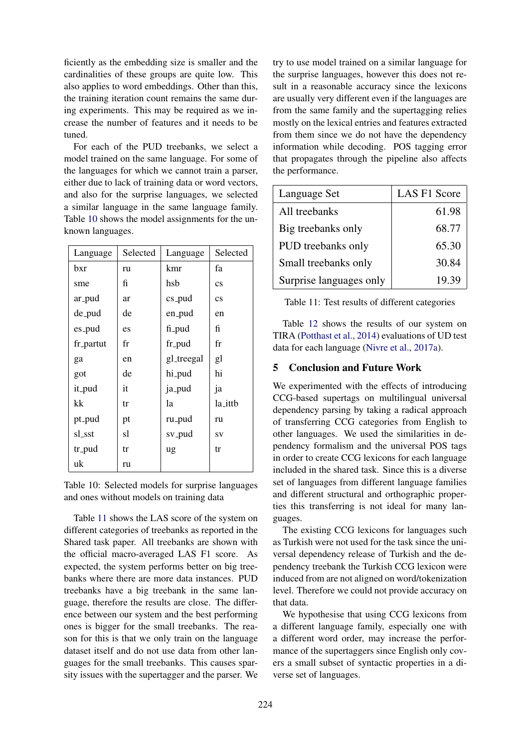ficiently as the embedding size is smaller and the cardinalities of these groups are quite low. This also applies to word embeddings. Other than this, the training iteration count remains the same during experiments. This may be required as we increase the number of features and it needs to be tuned.

For each of the PUD treebanks, we select a model trained on the same language. For some of the languages for which we cannot train a parser, either due to lack of training data or word vectors, and also for the surprise languages, we selected a similar language in the same language family. Table 10 shows the model assignments for the unknown languages.

| Language  | Selected | Language   | Selected               |
|-----------|----------|------------|------------------------|
| bxr       | ru       | kmr        | fа                     |
| sme       | fi       | hsb        | $\mathbf{c}\mathbf{s}$ |
| ar_pud    | ar       | $cs$ -pud  | $\mathbf{c}\mathbf{s}$ |
| de_pud    | de       | en_pud     | en                     |
| es_pud    | es       | fi_pud     | fi                     |
| fr_partut | fr       | fr_pud     | fr                     |
| ga        | en       | gl_treegal | gl                     |
| got       | de       | hi_pud     | hi                     |
| it_pud    | it       | ja_pud     | ja                     |
| kk        | tr       | la         | la_ittb                |
| pt_pud    | pt       | ru_pud     | ru                     |
| sl_sst    | sl       | sv_pud     | SV                     |
| tr_pud    | tr       | ug         | tr                     |
| uk        | ru       |            |                        |

Table 10: Selected models for surprise languages and ones without models on training data

Table 11 shows the LAS score of the system on different categories of treebanks as reported in the Shared task paper. All treebanks are shown with the official macro-averaged LAS F1 score. As expected, the system performs better on big treebanks where there are more data instances. PUD treebanks have a big treebank in the same language, therefore the results are close. The difference between our system and the best performing ones is bigger for the small treebanks. The reason for this is that we only train on the language dataset itself and do not use data from other languages for the small treebanks. This causes sparsity issues with the supertagger and the parser. We try to use model trained on a similar language for the surprise languages, however this does not result in a reasonable accuracy since the lexicons are usually very different even if the languages are from the same family and the supertagging relies mostly on the lexical entries and features extracted from them since we do not have the dependency information while decoding. POS tagging error that propagates through the pipeline also affects the performance.

| Language Set            | <b>LAS F1 Score</b> |
|-------------------------|---------------------|
| All treebanks           | 61.98               |
| Big treebanks only      | 68.77               |
| PUD treebanks only      | 65.30               |
| Small treebanks only    | 30.84               |
| Surprise languages only | 19.39               |

Table 11: Test results of different categories

Table 12 shows the results of our system on TIRA (Potthast et al., 2014) evaluations of UD test data for each language (Nivre et al., 2017a).

# 5 Conclusion and Future Work

We experimented with the effects of introducing CCG-based supertags on multilingual universal dependency parsing by taking a radical approach of transferring CCG categories from English to other languages. We used the similarities in dependency formalism and the universal POS tags in order to create CCG lexicons for each language included in the shared task. Since this is a diverse set of languages from different language families and different structural and orthographic properties this transferring is not ideal for many languages.

The existing CCG lexicons for languages such as Turkish were not used for the task since the universal dependency release of Turkish and the dependency treebank the Turkish CCG lexicon were induced from are not aligned on word/tokenization level. Therefore we could not provide accuracy on that data.

We hypothesise that using CCG lexicons from a different language family, especially one with a different word order, may increase the performance of the supertaggers since English only covers a small subset of syntactic properties in a diverse set of languages.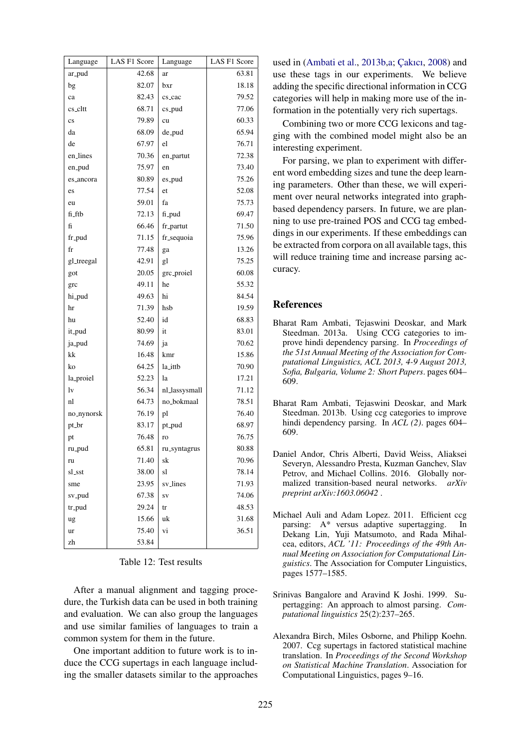| Language               | LAS F1 Score | Language      | LAS F1 Score |
|------------------------|--------------|---------------|--------------|
| ar_pud                 | 42.68        | ar            | 63.81        |
| bg                     | 82.07        | bxr           | 18.18        |
| ca                     | 82.43        | cs_cac        | 79.52        |
| cs_cltt                | 68.71        | $cs$ -pud     | 77.06        |
| $\mathbf{c}\mathbf{s}$ | 79.89        | cu            | 60.33        |
| da                     | 68.09        | de_pud        | 65.94        |
| de                     | 67.97        | el            | 76.71        |
| en_lines               | 70.36        | en_partut     | 72.38        |
| en_pud                 | 75.97        | en            | 73.40        |
| es_ancora              | 80.89        | es_pud        | 75.26        |
| es                     | 77.54        | et            | 52.08        |
| eu                     | 59.01        | fa            | 75.73        |
| fi_ftb                 | 72.13        | fi_pud        | 69.47        |
| fi                     | 66.46        | fr_partut     | 71.50        |
| fr_pud                 | 71.15        | fr_sequoia    | 75.96        |
| fr                     | 77.48        | ga            | 13.26        |
| gl_treegal             | 42.91        | gl            | 75.25        |
| got                    | 20.05        | grc_proiel    | 60.08        |
| grc                    | 49.11        | he            | 55.32        |
| hi_pud                 | 49.63        | hi            | 84.54        |
| hr                     | 71.39        | hsb           | 19.59        |
| hu                     | 52.40        | id            | 68.83        |
| it_pud                 | 80.99        | it            | 83.01        |
| ja_pud                 | 74.69        | ja            | 70.62        |
| kk                     | 16.48        | kmr           | 15.86        |
| ko                     | 64.25        | la_ittb       | 70.90        |
| la_proiel              | 52.23        | la            | 17.21        |
| 1v                     | 56.34        | nl_lassysmall | 71.12        |
| nl                     | 64.73        | no_bokmaal    | 78.51        |
| no_nynorsk             | 76.19        | pl            | 76.40        |
| pt_br                  | 83.17        | pt_pud        | 68.97        |
| pt                     | 76.48        | ro            | 76.75        |
| ru_pud                 | 65.81        | ru_syntagrus  | 80.88        |
| ru                     | 71.40        | sk            | 70.96        |
| sl_sst                 | 38.00        | sl            | 78.14        |
| sme                    | 23.95        | sv_lines      | 71.93        |
| sv_pud                 | 67.38        | ${\rm SV}$    | 74.06        |
| tr_pud                 | 29.24        | tr            | 48.53        |
| ug                     | 15.66        | uk            | 31.68        |
| ur                     | 75.40        | vi            | 36.51        |
| zh                     | 53.84        |               |              |

Table  $12$  Test results

After a manual alignment and tagging procedure, the Turkish data can be used in both training and evaluation. We can also group the languages and use similar families of languages to train a common system for them in the future.

One important addition to future work is to induce the CCG supertags in each language including the smaller datasets similar to the approaches used in (Ambati et al., 2013b.a; Cakici, 2008) and use these tags in our experiments. We believe adding the specific directional information in CCG categories will help in making more use of the information in the potentially very rich supertags.

Combining two or more CCG lexicons and tagging with the combined model might also be an interesting experiment.

For parsing, we plan to experiment with different word embedding sizes and tune the deep learning parameters. Other than these, we will experiment over neural networks integrated into graphbased dependency parsers. In future, we are planning to use pre-trained POS and CCG tag embeddings in our experiments. If these embeddings can be extracted from corpora on all available tags, this will reduce training time and increase parsing accuracy.

# **References**

- Bharat Ram Ambati, Tejaswini Deoskar, and Mark Steedman. 2013a. Using CCG categories to improve hindi dependency parsing. In Proceedings of the 51st Annual Meeting of the Association for Computational Linguistics, ACL 2013, 4-9 August 2013, Sofia, Bulgaria, Volume 2: Short Papers. pages 604-609.
- Bharat Ram Ambati, Tejaswini Deoskar, and Mark Steedman. 2013b. Using ccg categories to improve hindi dependency parsing. In  $ACL(2)$ . pages 604– 609
- Daniel Andor, Chris Alberti, David Weiss, Aliaksei Severyn, Alessandro Presta, Kuzman Ganchev, Slav Petrov, and Michael Collins, 2016. Globally normalized transition-based neural networks. arXiv preprint arXiv:1603.06042.
- Michael Auli and Adam Lopez. 2011. Efficient ccg parsing: A\* versus adaptive supertagging. - In Dekang Lin, Yuji Matsumoto, and Rada Mihalcea, editors, ACL '11: Proceedings of the 49th Annual Meeting on Association for Computational Lin*guistics*. The Association for Computer Linguistics, pages 1577-1585.
- Srinivas Bangalore and Aravind K Joshi. 1999. Supertagging: An approach to almost parsing. Computational linguistics 25(2):237-265.
- Alexandra Birch, Miles Osborne, and Philipp Koehn. 2007. Ccg supertags in factored statistical machine translation. In Proceedings of the Second Workshop on Statistical Machine Translation. Association for Computational Linguistics, pages 9-16.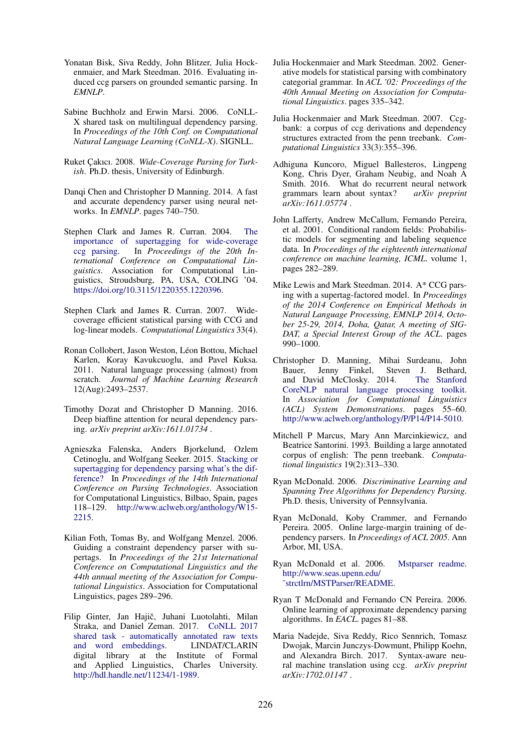- Yonatan Bisk, Siva Reddy, John Blitzer, Julia Hockenmaier, and Mark Steedman. 2016. Evaluating induced ccg parsers on grounded semantic parsing. In *EMNLP*.
- Sabine Buchholz and Erwin Marsi. 2006. CoNLL-X shared task on multilingual dependency parsing. In *Proceedings of the 10th Conf. on Computational Natural Language Learning (CoNLL-X)*. SIGNLL.
- Ruket Cakıcı. 2008. Wide-Coverage Parsing for Turk*ish*. Ph.D. thesis, University of Edinburgh.
- Dangi Chen and Christopher D Manning. 2014. A fast and accurate dependency parser using neural networks. In *EMNLP*. pages 740–750.
- Stephen Clark and James R. Curran. 2004. The importance of supertagging for wide-coverage ccg parsing. In *Proceedings of the 20th International Conference on Computational Linguistics*. Association for Computational Linguistics, Stroudsburg, PA, USA, COLING '04. https://doi.org/10.3115/1220355.1220396.
- Stephen Clark and James R. Curran. 2007. Widecoverage efficient statistical parsing with CCG and log-linear models. *Computational Linguistics* 33(4).
- Ronan Collobert, Jason Weston, Léon Bottou, Michael Karlen, Koray Kavukcuoglu, and Pavel Kuksa. 2011. Natural language processing (almost) from scratch. *Journal of Machine Learning Research* 12(Aug):2493–2537.
- Timothy Dozat and Christopher D Manning. 2016. Deep biaffine attention for neural dependency parsing. *arXiv preprint arXiv:1611.01734* .
- Agnieszka Falenska, Anders Bjorkelund, Ozlem Cetinoglu, and Wolfgang Seeker. 2015. Stacking or supertagging for dependency parsing what's the difference? In *Proceedings of the 14th International Conference on Parsing Technologies*. Association for Computational Linguistics, Bilbao, Spain, pages 118–129. http://www.aclweb.org/anthology/W15- 2215.
- Kilian Foth, Tomas By, and Wolfgang Menzel. 2006. Guiding a constraint dependency parser with supertags. In *Proceedings of the 21st International Conference on Computational Linguistics and the 44th annual meeting of the Association for Computational Linguistics*. Association for Computational Linguistics, pages 289–296.
- Filip Ginter, Jan Hajič, Juhani Luotolahti, Milan Straka, and Daniel Zeman. 2017. CoNLL 2017 shared task - automatically annotated raw texts and word embeddings. LINDAT/CLARIN digital library at the Institute of Formal and Applied Linguistics, Charles University. http://hdl.handle.net/11234/1-1989.
- Julia Hockenmaier and Mark Steedman. 2002. Generative models for statistical parsing with combinatory categorial grammar. In *ACL '02: Proceedings of the 40th Annual Meeting on Association for Computational Linguistics*. pages 335–342.
- Julia Hockenmaier and Mark Steedman. 2007. Ccgbank: a corpus of ccg derivations and dependency structures extracted from the penn treebank. *Computational Linguistics* 33(3):355–396.
- Adhiguna Kuncoro, Miguel Ballesteros, Lingpeng Kong, Chris Dyer, Graham Neubig, and Noah A Smith. 2016. What do recurrent neural network grammars learn about syntax? *arXiv preprint arXiv:1611.05774* .
- John Lafferty, Andrew McCallum, Fernando Pereira, et al. 2001. Conditional random fields: Probabilistic models for segmenting and labeling sequence data. In *Proceedings of the eighteenth international conference on machine learning, ICML*. volume 1, pages 282–289.
- Mike Lewis and Mark Steedman. 2014. A\* CCG parsing with a supertag-factored model. In *Proceedings of the 2014 Conference on Empirical Methods in Natural Language Processing, EMNLP 2014, October 25-29, 2014, Doha, Qatar, A meeting of SIG-DAT, a Special Interest Group of the ACL*. pages 990–1000.
- Christopher D. Manning, Mihai Surdeanu, John Bauer, Jenny Finkel, Steven J. Bethard,<br>and David McClosky. 2014. The Stanford and David McClosky. 2014. CoreNLP natural language processing toolkit. In *Association for Computational Linguistics (ACL) System Demonstrations*. pages 55–60. http://www.aclweb.org/anthology/P/P14/P14-5010.
- Mitchell P Marcus, Mary Ann Marcinkiewicz, and Beatrice Santorini. 1993. Building a large annotated corpus of english: The penn treebank. *Computational linguistics* 19(2):313–330.
- Ryan McDonald. 2006. *Discriminative Learning and Spanning Tree Algorithms for Dependency Parsing*. Ph.D. thesis, University of Pennsylvania.
- Ryan McDonald, Koby Crammer, and Fernando Pereira. 2005. Online large-margin training of dependency parsers. In *Proceedings of ACL 2005*. Ann Arbor, MI, USA.
- Ryan McDonald et al. 2006. Mstparser readme. http://www.seas.upenn.edu/ ˜strctlrn/MSTParser/README.
- Ryan T McDonald and Fernando CN Pereira. 2006. Online learning of approximate dependency parsing algorithms. In *EACL*. pages 81–88.
- Maria Nadejde, Siva Reddy, Rico Sennrich, Tomasz Dwojak, Marcin Junczys-Dowmunt, Philipp Koehn, and Alexandra Birch. 2017. Syntax-aware neural machine translation using ccg. *arXiv preprint arXiv:1702.01147* .